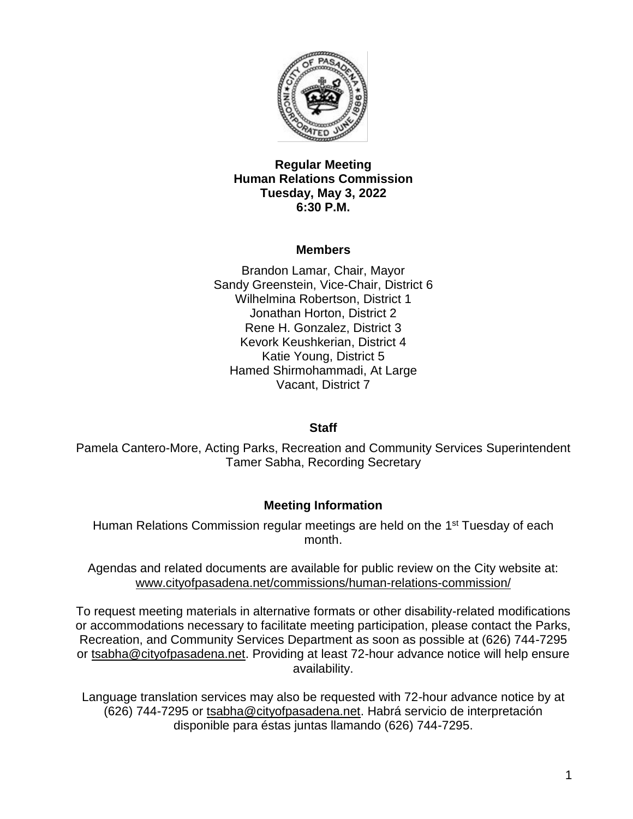

### **Regular Meeting Human Relations Commission Tuesday, May 3, 2022 6:30 P.M.**

## **Members**

Brandon Lamar, Chair, Mayor Sandy Greenstein, Vice-Chair, District 6 Wilhelmina Robertson, District 1 Jonathan Horton, District 2 Rene H. Gonzalez, District 3 Kevork Keushkerian, District 4 Katie Young, District 5 Hamed Shirmohammadi, At Large Vacant, District 7

### **Staff**

Pamela Cantero-More, Acting Parks, Recreation and Community Services Superintendent Tamer Sabha, Recording Secretary

## **Meeting Information**

Human Relations Commission regular meetings are held on the 1<sup>st</sup> Tuesday of each month.

Agendas and related documents are available for public review on the City website at: [www.cityofpasadena.net/commissions/human-relations-commission/](http://www.cityofpasadena.net/commissions/xxxxxxxxxx)

To request meeting materials in alternative formats or other disability-related modifications or accommodations necessary to facilitate meeting participation, please contact the Parks, Recreation, and Community Services Department as soon as possible at (626) 744-7295 or [tsabha@cityofpasadena.net.](mailto:tsabha@cityofpasadena.net) Providing at least 72-hour advance notice will help ensure availability.

Language translation services may also be requested with 72-hour advance notice by at (626) 744-7295 or [tsabha@cityofpasadena.net.](mailto:tsabha@cityofpasadena.net) Habrá servicio de interpretación disponible para éstas juntas llamando (626) 744-7295.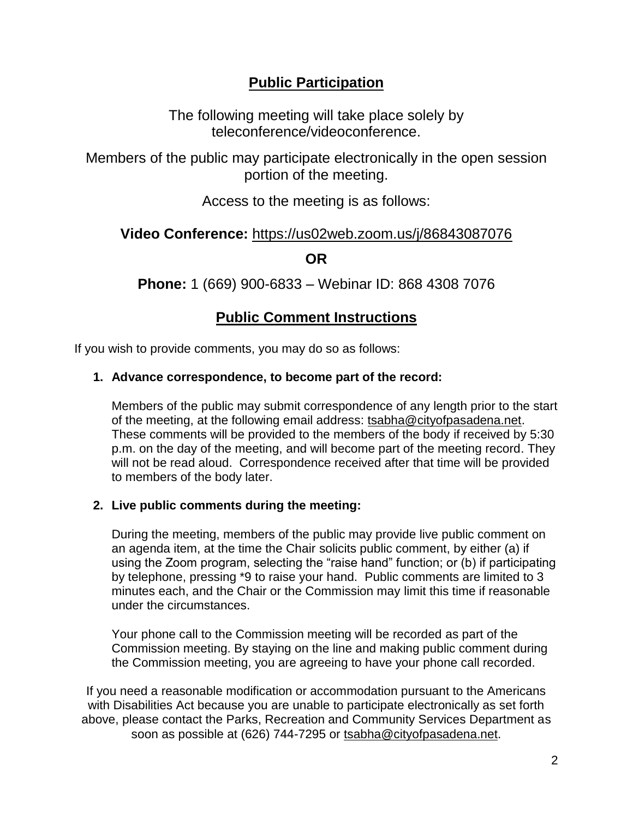## **Public Participation**

The following meeting will take place solely by teleconference/videoconference.

Members of the public may participate electronically in the open session portion of the meeting.

Access to the meeting is as follows:

## **Video Conference:** <https://us02web.zoom.us/j/86843087076>

## **OR**

**Phone:** 1 (669) 900-6833 – Webinar ID: 868 4308 7076

# **Public Comment Instructions**

If you wish to provide comments, you may do so as follows:

## **1. Advance correspondence, to become part of the record:**

Members of the public may submit correspondence of any length prior to the start of the meeting, at the following email address: [tsabha@cityofpasadena.net.](mailto:tsabha@cityofpasadena.net) These comments will be provided to the members of the body if received by 5:30 p.m. on the day of the meeting, and will become part of the meeting record. They will not be read aloud. Correspondence received after that time will be provided to members of the body later.

## **2. Live public comments during the meeting:**

During the meeting, members of the public may provide live public comment on an agenda item, at the time the Chair solicits public comment, by either (a) if using the Zoom program, selecting the "raise hand" function; or (b) if participating by telephone, pressing \*9 to raise your hand. Public comments are limited to 3 minutes each, and the Chair or the Commission may limit this time if reasonable under the circumstances.

Your phone call to the Commission meeting will be recorded as part of the Commission meeting. By staying on the line and making public comment during the Commission meeting, you are agreeing to have your phone call recorded.

If you need a reasonable modification or accommodation pursuant to the Americans with Disabilities Act because you are unable to participate electronically as set forth above, please contact the Parks, Recreation and Community Services Department as soon as possible at (626) 744-7295 or [tsabha@cityofpasadena.net.](mailto:tsabha@cityofpasadena.net)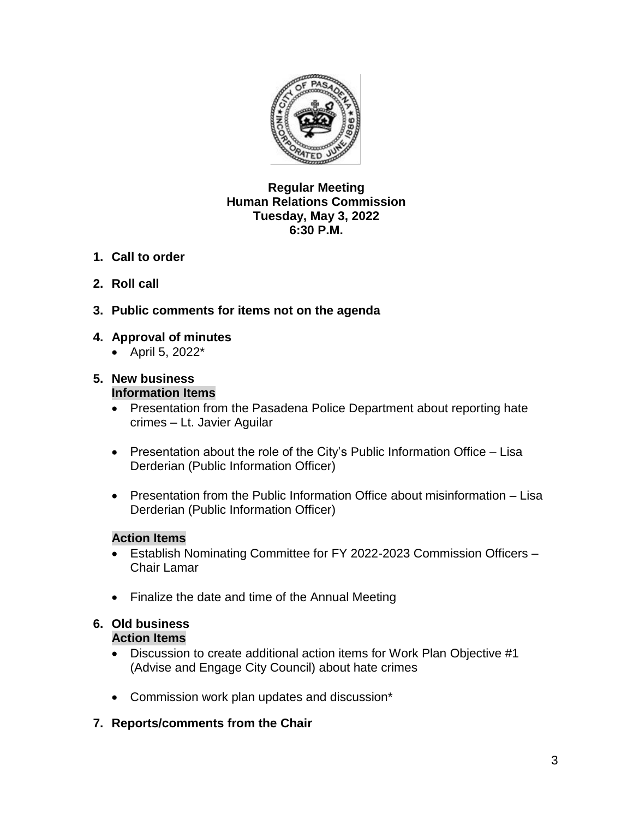

## **Regular Meeting Human Relations Commission Tuesday, May 3, 2022 6:30 P.M.**

- **1. Call to order**
- **2. Roll call**
- **3. Public comments for items not on the agenda**
- **4. Approval of minutes**
	- April 5, 2022\*

#### **5. New business Information Items**

- Presentation from the Pasadena Police Department about reporting hate crimes – Lt. Javier Aguilar
- Presentation about the role of the City's Public Information Office Lisa Derderian (Public Information Officer)
- Presentation from the Public Information Office about misinformation Lisa Derderian (Public Information Officer)

### **Action Items**

- Establish Nominating Committee for FY 2022-2023 Commission Officers Chair Lamar
- Finalize the date and time of the Annual Meeting

### **6. Old business Action Items**

- Discussion to create additional action items for Work Plan Objective #1 (Advise and Engage City Council) about hate crimes
- Commission work plan updates and discussion\*
- **7. Reports/comments from the Chair**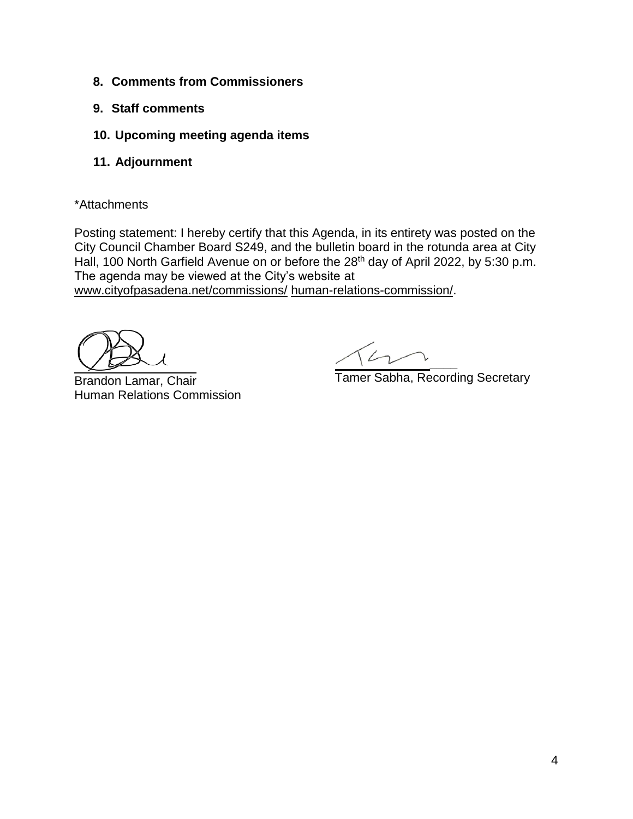- **8. Comments from Commissioners**
- **9. Staff comments**
- **10. Upcoming meeting agenda items**
- **11. Adjournment**
- \*Attachments

Posting statement: I hereby certify that this Agenda, in its entirety was posted on the City Council Chamber Board S249, and the bulletin board in the rotunda area at City Hall, 100 North Garfield Avenue on or before the 28<sup>th</sup> day of April 2022, by 5:30 p.m. The agenda may be viewed at the City's website at [www.cityofpasadena.net/commissions/](http://www.cityofpasadena.net/commissions/xxxxxxxxx) human-relations-commission/.

 $\overline{\phantom{a}}$ Brandon Lamar, Chair Human Relations Commission

**\_\_\_\_**

Tamer Sabha, Recording Secretary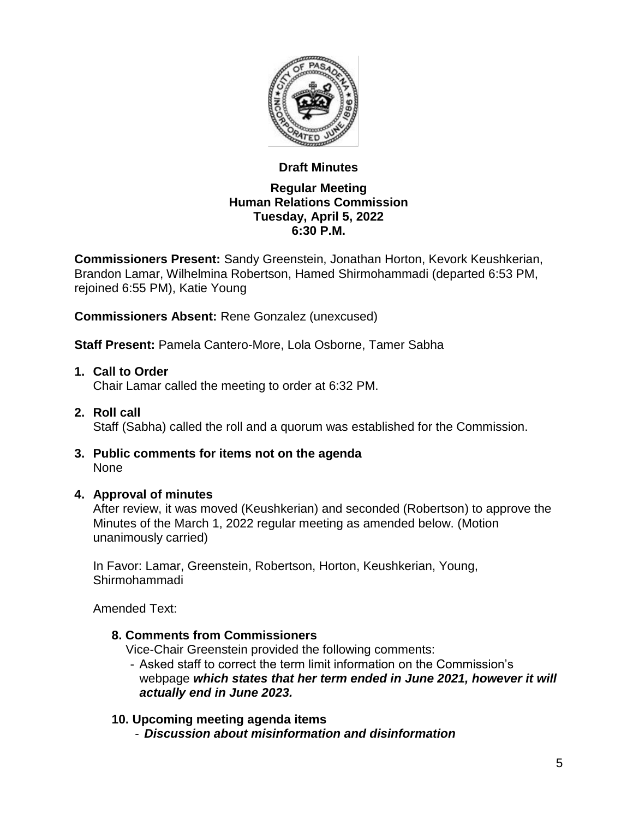

## **Draft Minutes**

## **Regular Meeting Human Relations Commission Tuesday, April 5, 2022 6:30 P.M.**

**Commissioners Present:** Sandy Greenstein, Jonathan Horton, Kevork Keushkerian, Brandon Lamar, Wilhelmina Robertson, Hamed Shirmohammadi (departed 6:53 PM, rejoined 6:55 PM), Katie Young

**Commissioners Absent:** Rene Gonzalez (unexcused)

**Staff Present:** Pamela Cantero-More, Lola Osborne, Tamer Sabha

## **1. Call to Order**

Chair Lamar called the meeting to order at 6:32 PM.

## **2. Roll call**

Staff (Sabha) called the roll and a quorum was established for the Commission.

**3. Public comments for items not on the agenda** None

### **4. Approval of minutes**

After review, it was moved (Keushkerian) and seconded (Robertson) to approve the Minutes of the March 1, 2022 regular meeting as amended below. (Motion unanimously carried)

In Favor: Lamar, Greenstein, Robertson, Horton, Keushkerian, Young, Shirmohammadi

Amended Text:

**8. Comments from Commissioners**

Vice-Chair Greenstein provided the following comments:

- Asked staff to correct the term limit information on the Commission's webpage *which states that her term ended in June 2021, however it will actually end in June 2023.*
- **10. Upcoming meeting agenda items** - *Discussion about misinformation and disinformation*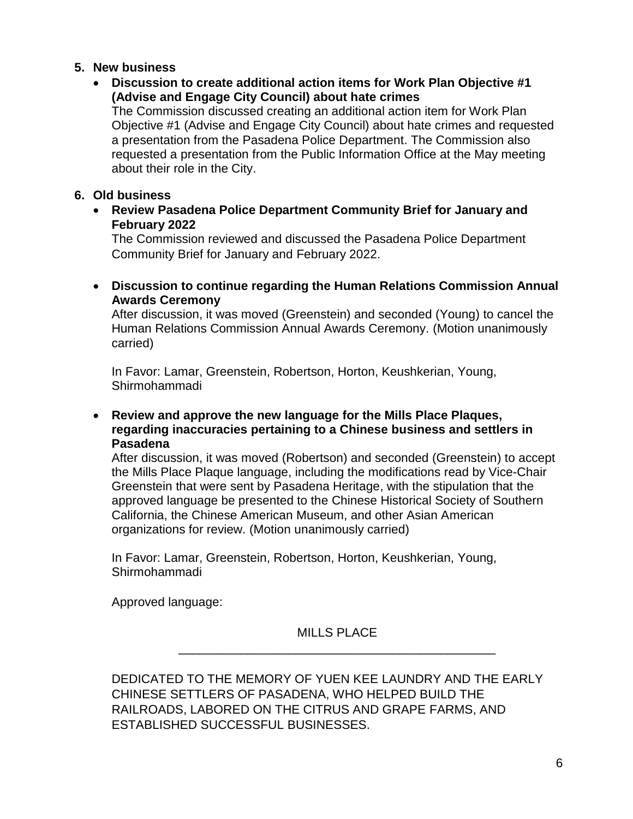## **5. New business**

 **Discussion to create additional action items for Work Plan Objective #1 (Advise and Engage City Council) about hate crimes**

The Commission discussed creating an additional action item for Work Plan Objective #1 (Advise and Engage City Council) about hate crimes and requested a presentation from the Pasadena Police Department. The Commission also requested a presentation from the Public Information Office at the May meeting about their role in the City.

## **6. Old business**

 **Review Pasadena Police Department Community Brief for January and February 2022**

The Commission reviewed and discussed the Pasadena Police Department Community Brief for January and February 2022.

 **Discussion to continue regarding the Human Relations Commission Annual Awards Ceremony**

After discussion, it was moved (Greenstein) and seconded (Young) to cancel the Human Relations Commission Annual Awards Ceremony. (Motion unanimously carried)

In Favor: Lamar, Greenstein, Robertson, Horton, Keushkerian, Young, Shirmohammadi

 **Review and approve the new language for the Mills Place Plaques, regarding inaccuracies pertaining to a Chinese business and settlers in Pasadena**

After discussion, it was moved (Robertson) and seconded (Greenstein) to accept the Mills Place Plaque language, including the modifications read by Vice-Chair Greenstein that were sent by Pasadena Heritage, with the stipulation that the approved language be presented to the Chinese Historical Society of Southern California, the Chinese American Museum, and other Asian American organizations for review. (Motion unanimously carried)

In Favor: Lamar, Greenstein, Robertson, Horton, Keushkerian, Young, Shirmohammadi

Approved language:

MILLS PLACE \_\_\_\_\_\_\_\_\_\_\_\_\_\_\_\_\_\_\_\_\_\_\_\_\_\_\_\_\_\_\_\_\_\_\_\_\_\_\_\_\_\_\_\_\_\_

DEDICATED TO THE MEMORY OF YUEN KEE LAUNDRY AND THE EARLY CHINESE SETTLERS OF PASADENA, WHO HELPED BUILD THE RAILROADS, LABORED ON THE CITRUS AND GRAPE FARMS, AND ESTABLISHED SUCCESSFUL BUSINESSES.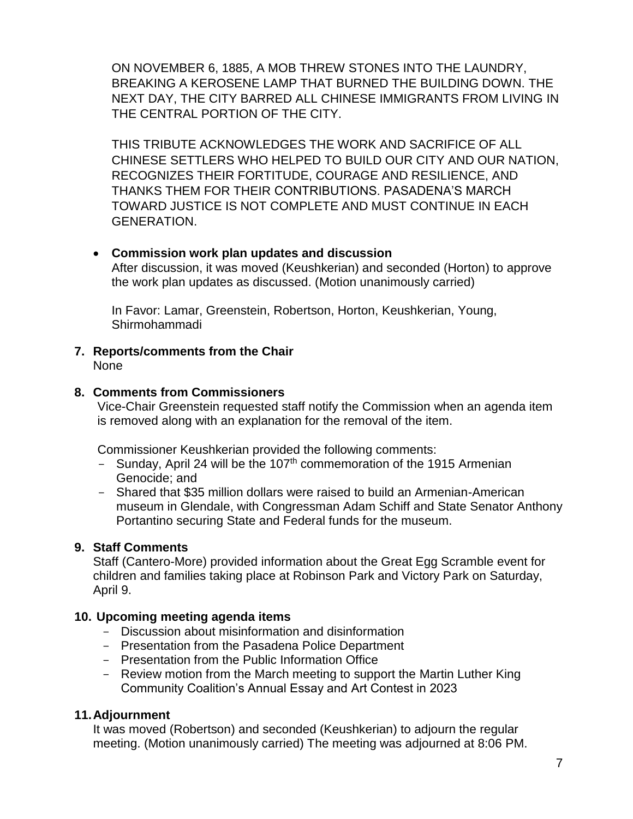ON NOVEMBER 6, 1885, A MOB THREW STONES INTO THE LAUNDRY, BREAKING A KEROSENE LAMP THAT BURNED THE BUILDING DOWN. THE NEXT DAY, THE CITY BARRED ALL CHINESE IMMIGRANTS FROM LIVING IN THE CENTRAL PORTION OF THE CITY.

THIS TRIBUTE ACKNOWLEDGES THE WORK AND SACRIFICE OF ALL CHINESE SETTLERS WHO HELPED TO BUILD OUR CITY AND OUR NATION, RECOGNIZES THEIR FORTITUDE, COURAGE AND RESILIENCE, AND THANKS THEM FOR THEIR CONTRIBUTIONS. PASADENA'S MARCH TOWARD JUSTICE IS NOT COMPLETE AND MUST CONTINUE IN EACH GENERATION.

### **Commission work plan updates and discussion**

After discussion, it was moved (Keushkerian) and seconded (Horton) to approve the work plan updates as discussed. (Motion unanimously carried)

In Favor: Lamar, Greenstein, Robertson, Horton, Keushkerian, Young, Shirmohammadi

**7. Reports/comments from the Chair** None

## **8. Comments from Commissioners**

Vice-Chair Greenstein requested staff notify the Commission when an agenda item is removed along with an explanation for the removal of the item.

Commissioner Keushkerian provided the following comments:

- Sunday, April 24 will be the 107<sup>th</sup> commemoration of the 1915 Armenian Genocide; and
- Shared that \$35 million dollars were raised to build an Armenian-American museum in Glendale, with Congressman Adam Schiff and State Senator Anthony Portantino securing State and Federal funds for the museum.

## **9. Staff Comments**

Staff (Cantero-More) provided information about the Great Egg Scramble event for children and families taking place at Robinson Park and Victory Park on Saturday, April 9.

### **10. Upcoming meeting agenda items**

- Discussion about misinformation and disinformation
- Presentation from the Pasadena Police Department
- Presentation from the Public Information Office
- Review motion from the March meeting to support the Martin Luther King Community Coalition's Annual Essay and Art Contest in 2023

## **11.Adjournment**

It was moved (Robertson) and seconded (Keushkerian) to adjourn the regular meeting. (Motion unanimously carried) The meeting was adjourned at 8:06 PM.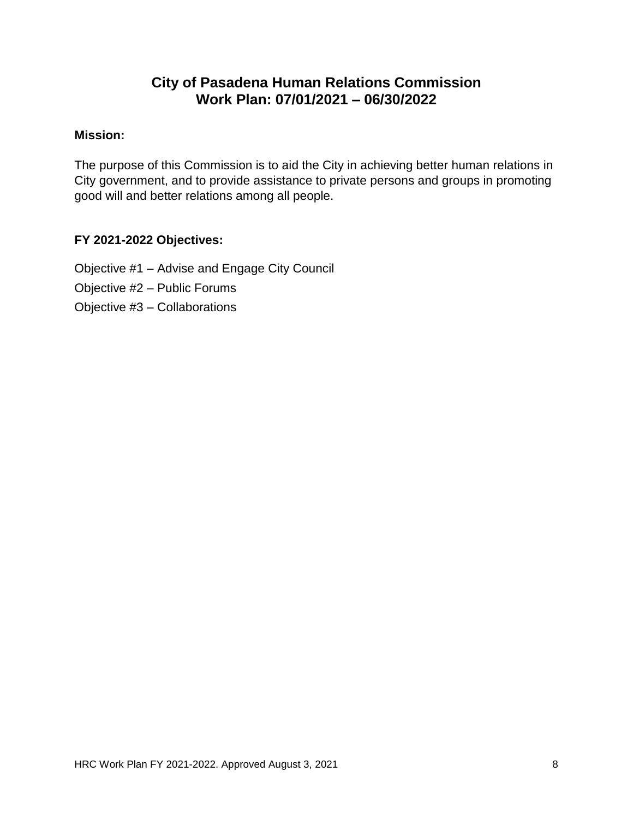## **City of Pasadena Human Relations Commission Work Plan: 07/01/2021 – 06/30/2022**

## **Mission:**

The purpose of this Commission is to aid the City in achieving better human relations in City government, and to provide assistance to private persons and groups in promoting good will and better relations among all people.

## **FY 2021-2022 Objectives:**

Objective #1 – [Advise and Engage City Council](#page-8-0)

- [Objective #2 –](#page-14-0) Public Forums
- [Objective #3 –](#page-17-0) Collaborations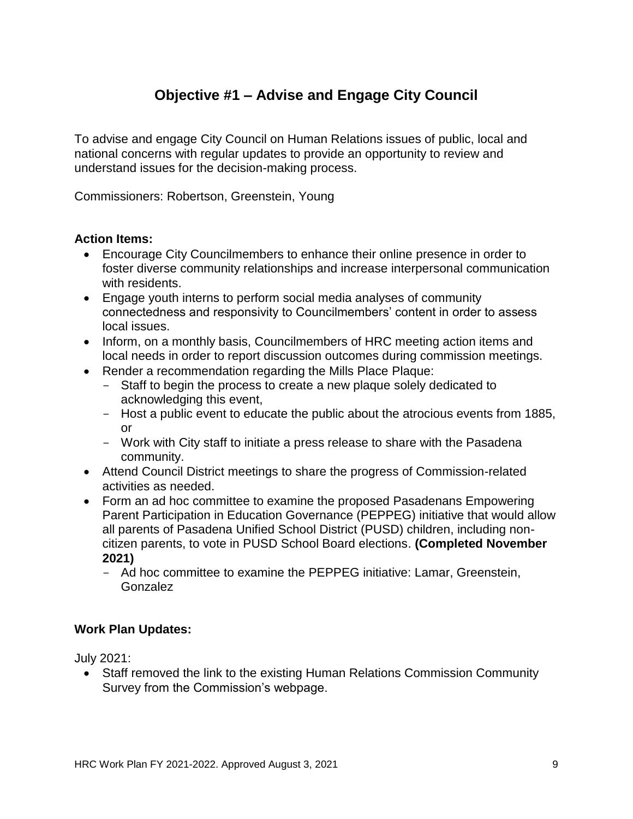# **Objective #1 – Advise and Engage City Council**

<span id="page-8-0"></span>To advise and engage City Council on Human Relations issues of public, local and national concerns with regular updates to provide an opportunity to review and understand issues for the decision-making process.

Commissioners: Robertson, Greenstein, Young

#### **Action Items:**

- Encourage City Councilmembers to enhance their online presence in order to foster diverse community relationships and increase interpersonal communication with residents.
- Engage youth interns to perform social media analyses of community connectedness and responsivity to Councilmembers' content in order to assess local issues.
- Inform, on a monthly basis, Councilmembers of HRC meeting action items and local needs in order to report discussion outcomes during commission meetings.
- Render a recommendation regarding the Mills Place Plaque:
	- Staff to begin the process to create a new plaque solely dedicated to acknowledging this event,
	- Host a public event to educate the public about the atrocious events from 1885, or
	- Work with City staff to initiate a press release to share with the Pasadena community.
- Attend Council District meetings to share the progress of Commission-related activities as needed.
- Form an ad hoc committee to examine the proposed Pasadenans Empowering Parent Participation in Education Governance (PEPPEG) initiative that would allow all parents of Pasadena Unified School District (PUSD) children, including noncitizen parents, to vote in PUSD School Board elections. **(Completed November 2021)**
	- Ad hoc committee to examine the PEPPEG initiative: Lamar, Greenstein, Gonzalez

### **Work Plan Updates:**

July 2021:

 Staff removed the link to the existing Human Relations Commission Community Survey from the Commission's webpage.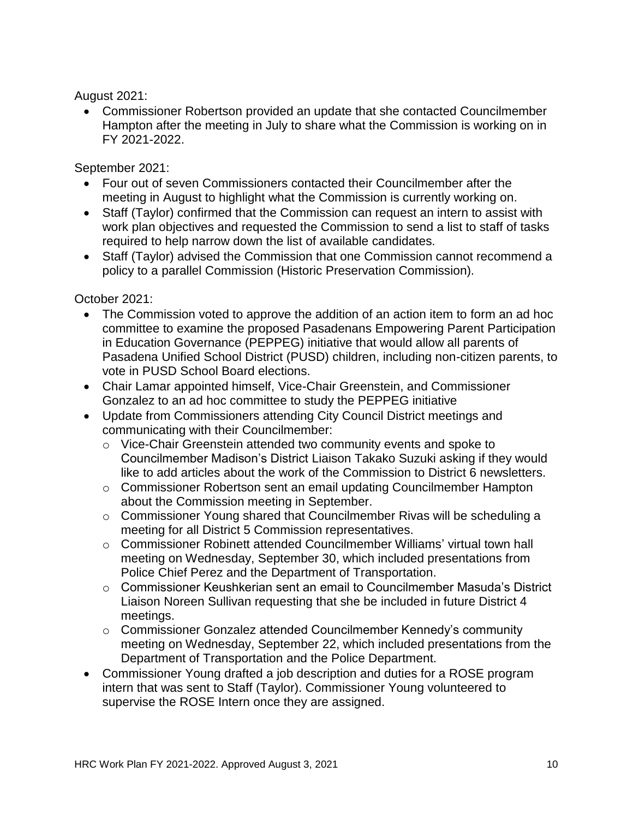August 2021:

 Commissioner Robertson provided an update that she contacted Councilmember Hampton after the meeting in July to share what the Commission is working on in FY 2021-2022.

September 2021:

- Four out of seven Commissioners contacted their Councilmember after the meeting in August to highlight what the Commission is currently working on.
- Staff (Taylor) confirmed that the Commission can request an intern to assist with work plan objectives and requested the Commission to send a list to staff of tasks required to help narrow down the list of available candidates.
- Staff (Taylor) advised the Commission that one Commission cannot recommend a policy to a parallel Commission (Historic Preservation Commission).

October 2021:

- The Commission voted to approve the addition of an action item to form an ad hoc committee to examine the proposed Pasadenans Empowering Parent Participation in Education Governance (PEPPEG) initiative that would allow all parents of Pasadena Unified School District (PUSD) children, including non-citizen parents, to vote in PUSD School Board elections.
- Chair Lamar appointed himself, Vice-Chair Greenstein, and Commissioner Gonzalez to an ad hoc committee to study the PEPPEG initiative
- Update from Commissioners attending City Council District meetings and communicating with their Councilmember:
	- o Vice-Chair Greenstein attended two community events and spoke to Councilmember Madison's District Liaison Takako Suzuki asking if they would like to add articles about the work of the Commission to District 6 newsletters.
	- $\circ$  Commissioner Robertson sent an email updating Councilmember Hampton about the Commission meeting in September.
	- o Commissioner Young shared that Councilmember Rivas will be scheduling a meeting for all District 5 Commission representatives.
	- o Commissioner Robinett attended Councilmember Williams' virtual town hall meeting on Wednesday, September 30, which included presentations from Police Chief Perez and the Department of Transportation.
	- o Commissioner Keushkerian sent an email to Councilmember Masuda's District Liaison Noreen Sullivan requesting that she be included in future District 4 meetings.
	- o Commissioner Gonzalez attended Councilmember Kennedy's community meeting on Wednesday, September 22, which included presentations from the Department of Transportation and the Police Department.
- Commissioner Young drafted a job description and duties for a ROSE program intern that was sent to Staff (Taylor). Commissioner Young volunteered to supervise the ROSE Intern once they are assigned.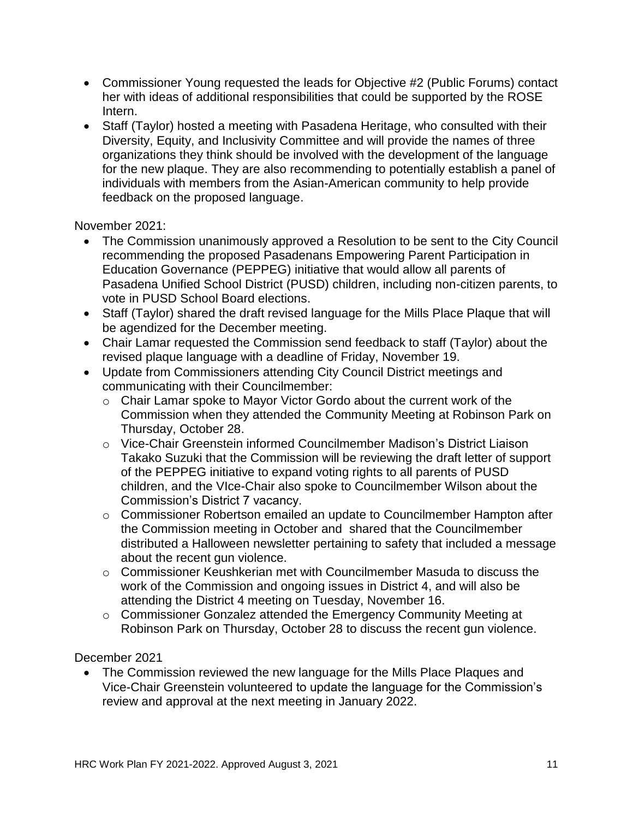- Commissioner Young requested the leads for Objective #2 (Public Forums) contact her with ideas of additional responsibilities that could be supported by the ROSE Intern.
- Staff (Taylor) hosted a meeting with Pasadena Heritage, who consulted with their Diversity, Equity, and Inclusivity Committee and will provide the names of three organizations they think should be involved with the development of the language for the new plaque. They are also recommending to potentially establish a panel of individuals with members from the Asian-American community to help provide feedback on the proposed language.

November 2021:

- The Commission unanimously approved a Resolution to be sent to the City Council recommending the proposed Pasadenans Empowering Parent Participation in Education Governance (PEPPEG) initiative that would allow all parents of Pasadena Unified School District (PUSD) children, including non-citizen parents, to vote in PUSD School Board elections.
- Staff (Taylor) shared the draft revised language for the Mills Place Plaque that will be agendized for the December meeting.
- Chair Lamar requested the Commission send feedback to staff (Taylor) about the revised plaque language with a deadline of Friday, November 19.
- Update from Commissioners attending City Council District meetings and communicating with their Councilmember:
	- o Chair Lamar spoke to Mayor Victor Gordo about the current work of the Commission when they attended the Community Meeting at Robinson Park on Thursday, October 28.
	- o Vice-Chair Greenstein informed Councilmember Madison's District Liaison Takako Suzuki that the Commission will be reviewing the draft letter of support of the PEPPEG initiative to expand voting rights to all parents of PUSD children, and the VIce-Chair also spoke to Councilmember Wilson about the Commission's District 7 vacancy.
	- o Commissioner Robertson emailed an update to Councilmember Hampton after the Commission meeting in October and shared that the Councilmember distributed a Halloween newsletter pertaining to safety that included a message about the recent gun violence.
	- o Commissioner Keushkerian met with Councilmember Masuda to discuss the work of the Commission and ongoing issues in District 4, and will also be attending the District 4 meeting on Tuesday, November 16.
	- o Commissioner Gonzalez attended the Emergency Community Meeting at Robinson Park on Thursday, October 28 to discuss the recent gun violence.

December 2021

• The Commission reviewed the new language for the Mills Place Plagues and Vice-Chair Greenstein volunteered to update the language for the Commission's review and approval at the next meeting in January 2022.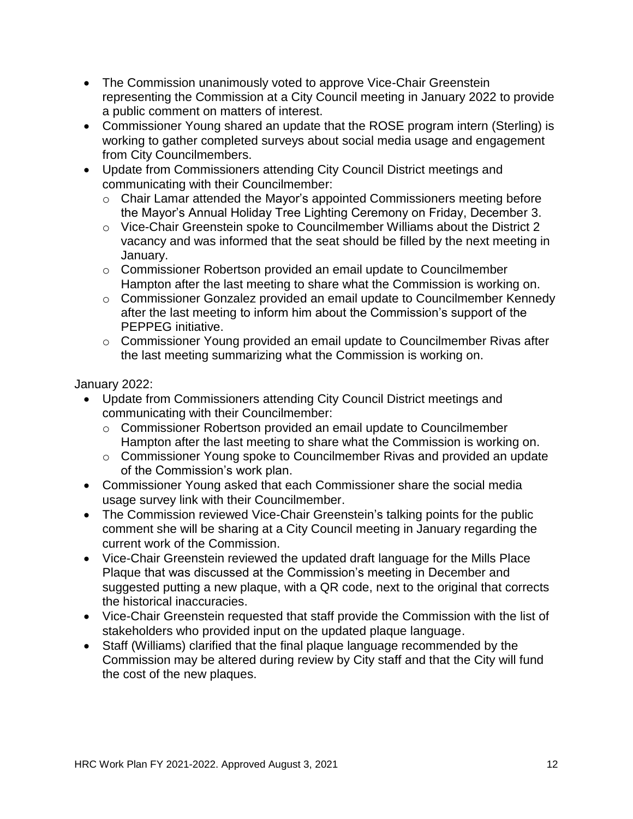- The Commission unanimously voted to approve Vice-Chair Greenstein representing the Commission at a City Council meeting in January 2022 to provide a public comment on matters of interest.
- Commissioner Young shared an update that the ROSE program intern (Sterling) is working to gather completed surveys about social media usage and engagement from City Councilmembers.
- Update from Commissioners attending City Council District meetings and communicating with their Councilmember:
	- o Chair Lamar attended the Mayor's appointed Commissioners meeting before the Mayor's Annual Holiday Tree Lighting Ceremony on Friday, December 3.
	- o Vice-Chair Greenstein spoke to Councilmember Williams about the District 2 vacancy and was informed that the seat should be filled by the next meeting in January.
	- o Commissioner Robertson provided an email update to Councilmember Hampton after the last meeting to share what the Commission is working on.
	- o Commissioner Gonzalez provided an email update to Councilmember Kennedy after the last meeting to inform him about the Commission's support of the PEPPEG initiative.
	- o Commissioner Young provided an email update to Councilmember Rivas after the last meeting summarizing what the Commission is working on.

January 2022:

- Update from Commissioners attending City Council District meetings and communicating with their Councilmember:
	- o Commissioner Robertson provided an email update to Councilmember Hampton after the last meeting to share what the Commission is working on.
	- o Commissioner Young spoke to Councilmember Rivas and provided an update of the Commission's work plan.
- Commissioner Young asked that each Commissioner share the social media usage survey link with their Councilmember.
- The Commission reviewed Vice-Chair Greenstein's talking points for the public comment she will be sharing at a City Council meeting in January regarding the current work of the Commission.
- Vice-Chair Greenstein reviewed the updated draft language for the Mills Place Plaque that was discussed at the Commission's meeting in December and suggested putting a new plaque, with a QR code, next to the original that corrects the historical inaccuracies.
- Vice-Chair Greenstein requested that staff provide the Commission with the list of stakeholders who provided input on the updated plaque language.
- Staff (Williams) clarified that the final plaque language recommended by the Commission may be altered during review by City staff and that the City will fund the cost of the new plaques.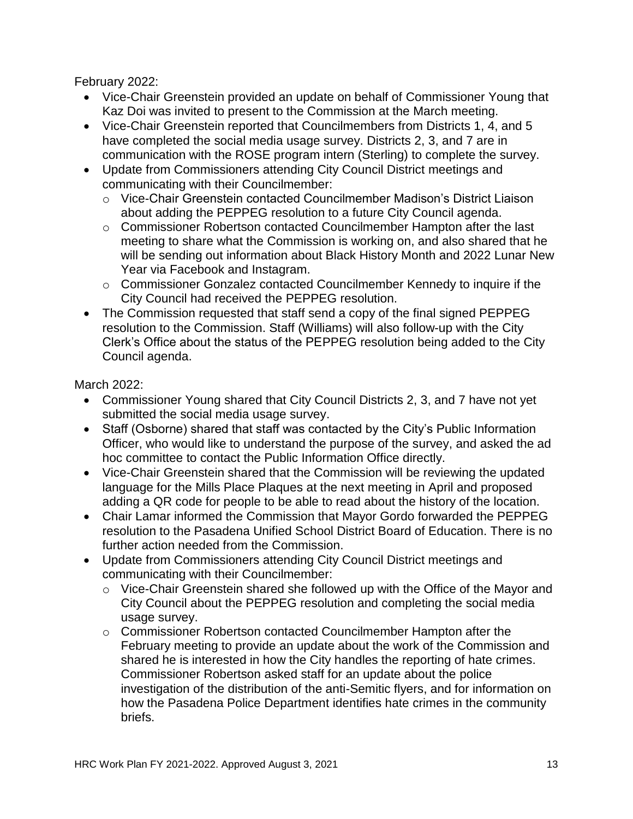February 2022:

- Vice-Chair Greenstein provided an update on behalf of Commissioner Young that Kaz Doi was invited to present to the Commission at the March meeting.
- Vice-Chair Greenstein reported that Councilmembers from Districts 1, 4, and 5 have completed the social media usage survey. Districts 2, 3, and 7 are in communication with the ROSE program intern (Sterling) to complete the survey.
- Update from Commissioners attending City Council District meetings and communicating with their Councilmember:
	- o Vice-Chair Greenstein contacted Councilmember Madison's District Liaison about adding the PEPPEG resolution to a future City Council agenda.
	- o Commissioner Robertson contacted Councilmember Hampton after the last meeting to share what the Commission is working on, and also shared that he will be sending out information about Black History Month and 2022 Lunar New Year via Facebook and Instagram.
	- o Commissioner Gonzalez contacted Councilmember Kennedy to inquire if the City Council had received the PEPPEG resolution.
- The Commission requested that staff send a copy of the final signed PEPPEG resolution to the Commission. Staff (Williams) will also follow-up with the City Clerk's Office about the status of the PEPPEG resolution being added to the City Council agenda.

March 2022:

- Commissioner Young shared that City Council Districts 2, 3, and 7 have not yet submitted the social media usage survey.
- Staff (Osborne) shared that staff was contacted by the City's Public Information Officer, who would like to understand the purpose of the survey, and asked the ad hoc committee to contact the Public Information Office directly.
- Vice-Chair Greenstein shared that the Commission will be reviewing the updated language for the Mills Place Plaques at the next meeting in April and proposed adding a QR code for people to be able to read about the history of the location.
- Chair Lamar informed the Commission that Mayor Gordo forwarded the PEPPEG resolution to the Pasadena Unified School District Board of Education. There is no further action needed from the Commission.
- Update from Commissioners attending City Council District meetings and communicating with their Councilmember:
	- o Vice-Chair Greenstein shared she followed up with the Office of the Mayor and City Council about the PEPPEG resolution and completing the social media usage survey.
	- o Commissioner Robertson contacted Councilmember Hampton after the February meeting to provide an update about the work of the Commission and shared he is interested in how the City handles the reporting of hate crimes. Commissioner Robertson asked staff for an update about the police investigation of the distribution of the anti-Semitic flyers, and for information on how the Pasadena Police Department identifies hate crimes in the community briefs.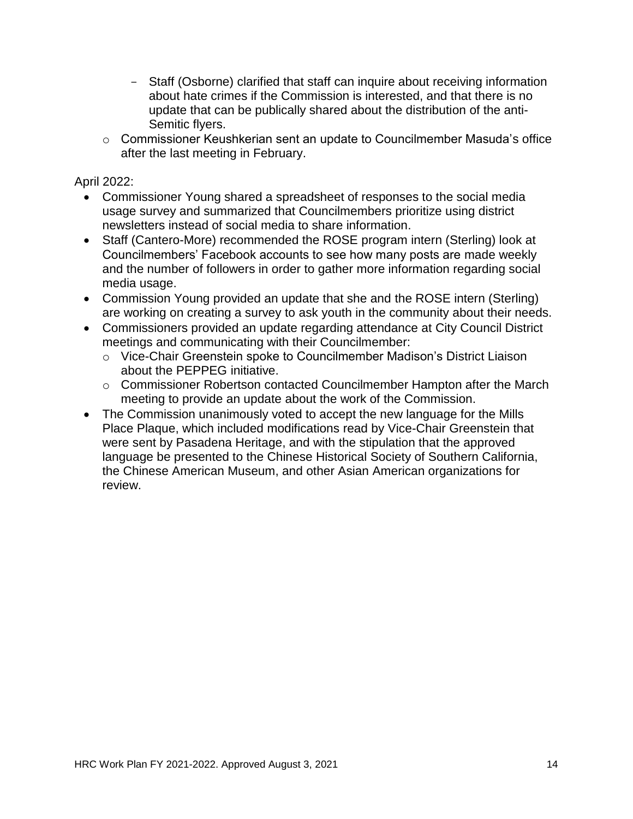- Staff (Osborne) clarified that staff can inquire about receiving information about hate crimes if the Commission is interested, and that there is no update that can be publically shared about the distribution of the anti-Semitic flyers.
- o Commissioner Keushkerian sent an update to Councilmember Masuda's office after the last meeting in February.

## April 2022:

- Commissioner Young shared a spreadsheet of responses to the social media usage survey and summarized that Councilmembers prioritize using district newsletters instead of social media to share information.
- Staff (Cantero-More) recommended the ROSE program intern (Sterling) look at Councilmembers' Facebook accounts to see how many posts are made weekly and the number of followers in order to gather more information regarding social media usage.
- Commission Young provided an update that she and the ROSE intern (Sterling) are working on creating a survey to ask youth in the community about their needs.
- Commissioners provided an update regarding attendance at City Council District meetings and communicating with their Councilmember:
	- o Vice-Chair Greenstein spoke to Councilmember Madison's District Liaison about the PEPPEG initiative.
	- $\circ$  Commissioner Robertson contacted Councilmember Hampton after the March meeting to provide an update about the work of the Commission.
- The Commission unanimously voted to accept the new language for the Mills Place Plaque, which included modifications read by Vice-Chair Greenstein that were sent by Pasadena Heritage, and with the stipulation that the approved language be presented to the Chinese Historical Society of Southern California, the Chinese American Museum, and other Asian American organizations for review.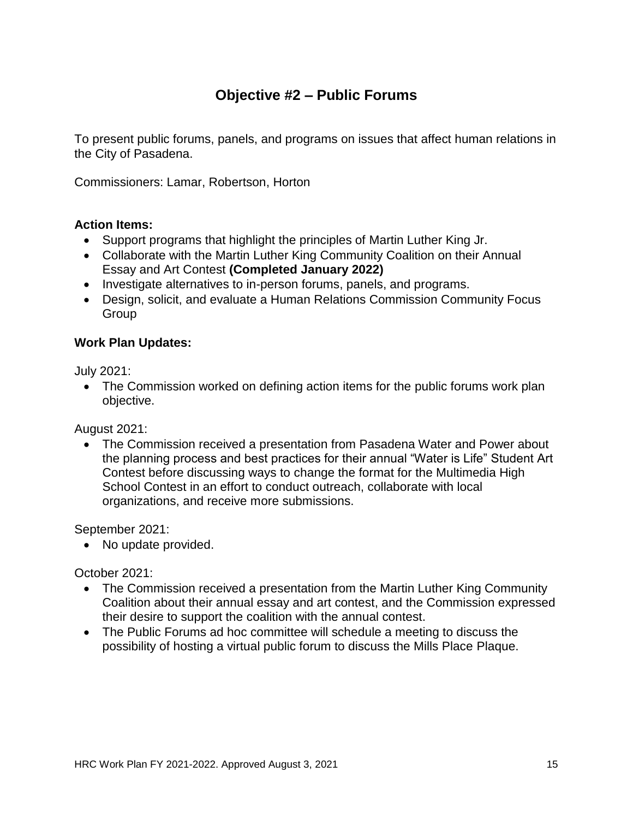# **Objective #2 – Public Forums**

<span id="page-14-0"></span>To present public forums, panels, and programs on issues that affect human relations in the City of Pasadena.

Commissioners: Lamar, Robertson, Horton

### **Action Items:**

- Support programs that highlight the principles of Martin Luther King Jr.
- Collaborate with the Martin Luther King Community Coalition on their Annual Essay and Art Contest **(Completed January 2022)**
- Investigate alternatives to in-person forums, panels, and programs.
- Design, solicit, and evaluate a Human Relations Commission Community Focus **Group**

### **Work Plan Updates:**

July 2021:

• The Commission worked on defining action items for the public forums work plan objective.

August 2021:

 The Commission received a presentation from Pasadena Water and Power about the planning process and best practices for their annual "Water is Life" Student Art Contest before discussing ways to change the format for the Multimedia High School Contest in an effort to conduct outreach, collaborate with local organizations, and receive more submissions.

September 2021:

• No update provided.

October 2021:

- The Commission received a presentation from the Martin Luther King Community Coalition about their annual essay and art contest, and the Commission expressed their desire to support the coalition with the annual contest.
- The Public Forums ad hoc committee will schedule a meeting to discuss the possibility of hosting a virtual public forum to discuss the Mills Place Plaque.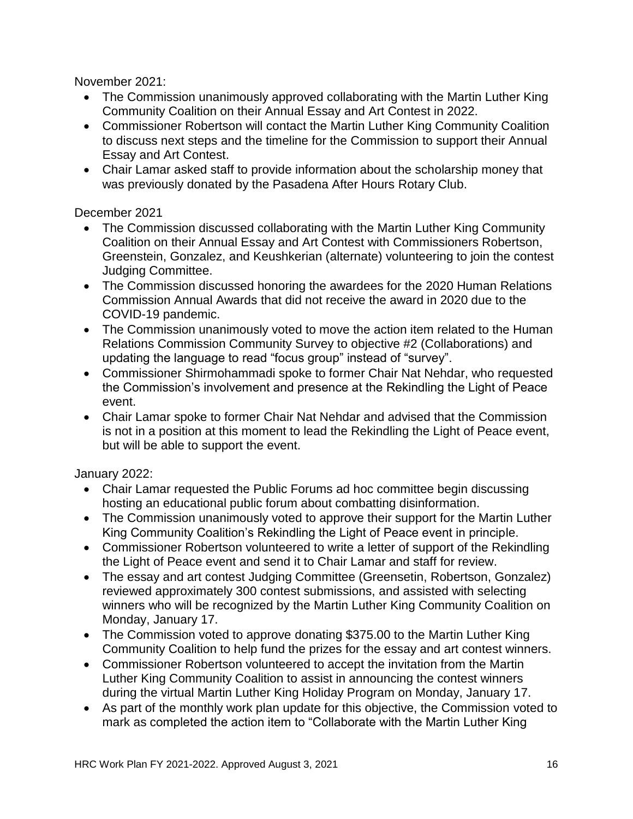November 2021:

- The Commission unanimously approved collaborating with the Martin Luther King Community Coalition on their Annual Essay and Art Contest in 2022.
- Commissioner Robertson will contact the Martin Luther King Community Coalition to discuss next steps and the timeline for the Commission to support their Annual Essay and Art Contest.
- Chair Lamar asked staff to provide information about the scholarship money that was previously donated by the Pasadena After Hours Rotary Club.

December 2021

- The Commission discussed collaborating with the Martin Luther King Community Coalition on their Annual Essay and Art Contest with Commissioners Robertson, Greenstein, Gonzalez, and Keushkerian (alternate) volunteering to join the contest Judging Committee.
- The Commission discussed honoring the awardees for the 2020 Human Relations Commission Annual Awards that did not receive the award in 2020 due to the COVID-19 pandemic.
- The Commission unanimously voted to move the action item related to the Human Relations Commission Community Survey to objective #2 (Collaborations) and updating the language to read "focus group" instead of "survey".
- Commissioner Shirmohammadi spoke to former Chair Nat Nehdar, who requested the Commission's involvement and presence at the Rekindling the Light of Peace event.
- Chair Lamar spoke to former Chair Nat Nehdar and advised that the Commission is not in a position at this moment to lead the Rekindling the Light of Peace event, but will be able to support the event.

January 2022:

- Chair Lamar requested the Public Forums ad hoc committee begin discussing hosting an educational public forum about combatting disinformation.
- The Commission unanimously voted to approve their support for the Martin Luther King Community Coalition's Rekindling the Light of Peace event in principle.
- Commissioner Robertson volunteered to write a letter of support of the Rekindling the Light of Peace event and send it to Chair Lamar and staff for review.
- The essay and art contest Judging Committee (Greensetin, Robertson, Gonzalez) reviewed approximately 300 contest submissions, and assisted with selecting winners who will be recognized by the Martin Luther King Community Coalition on Monday, January 17.
- The Commission voted to approve donating \$375.00 to the Martin Luther King Community Coalition to help fund the prizes for the essay and art contest winners.
- Commissioner Robertson volunteered to accept the invitation from the Martin Luther King Community Coalition to assist in announcing the contest winners during the virtual Martin Luther King Holiday Program on Monday, January 17.
- As part of the monthly work plan update for this objective, the Commission voted to mark as completed the action item to "Collaborate with the Martin Luther King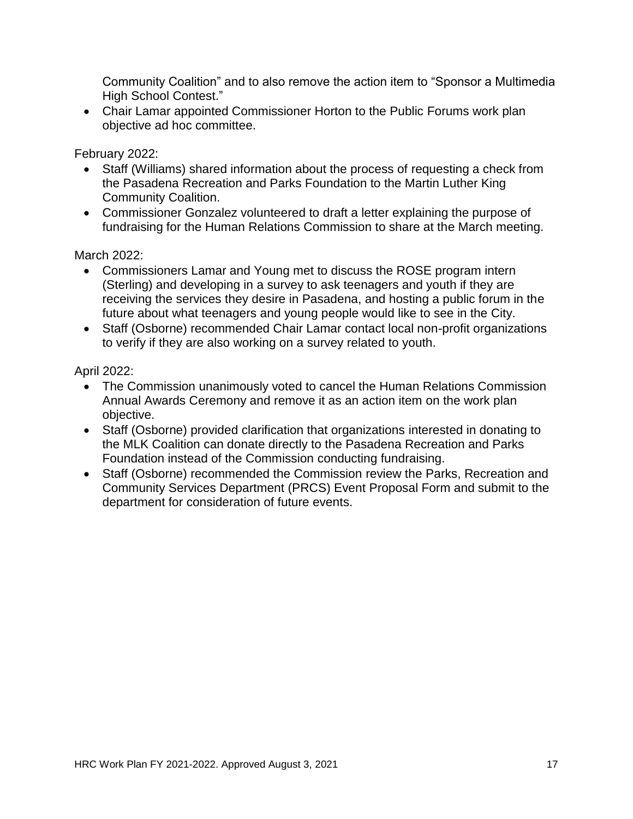Community Coalition" and to also remove the action item to "Sponsor a Multimedia High School Contest."

 Chair Lamar appointed Commissioner Horton to the Public Forums work plan objective ad hoc committee.

February 2022:

- Staff (Williams) shared information about the process of requesting a check from the Pasadena Recreation and Parks Foundation to the Martin Luther King Community Coalition.
- Commissioner Gonzalez volunteered to draft a letter explaining the purpose of fundraising for the Human Relations Commission to share at the March meeting.

March 2022:

- Commissioners Lamar and Young met to discuss the ROSE program intern (Sterling) and developing in a survey to ask teenagers and youth if they are receiving the services they desire in Pasadena, and hosting a public forum in the future about what teenagers and young people would like to see in the City.
- Staff (Osborne) recommended Chair Lamar contact local non-profit organizations to verify if they are also working on a survey related to youth.

April 2022:

- The Commission unanimously voted to cancel the Human Relations Commission Annual Awards Ceremony and remove it as an action item on the work plan objective.
- Staff (Osborne) provided clarification that organizations interested in donating to the MLK Coalition can donate directly to the Pasadena Recreation and Parks Foundation instead of the Commission conducting fundraising.
- Staff (Osborne) recommended the Commission review the Parks, Recreation and Community Services Department (PRCS) Event Proposal Form and submit to the department for consideration of future events.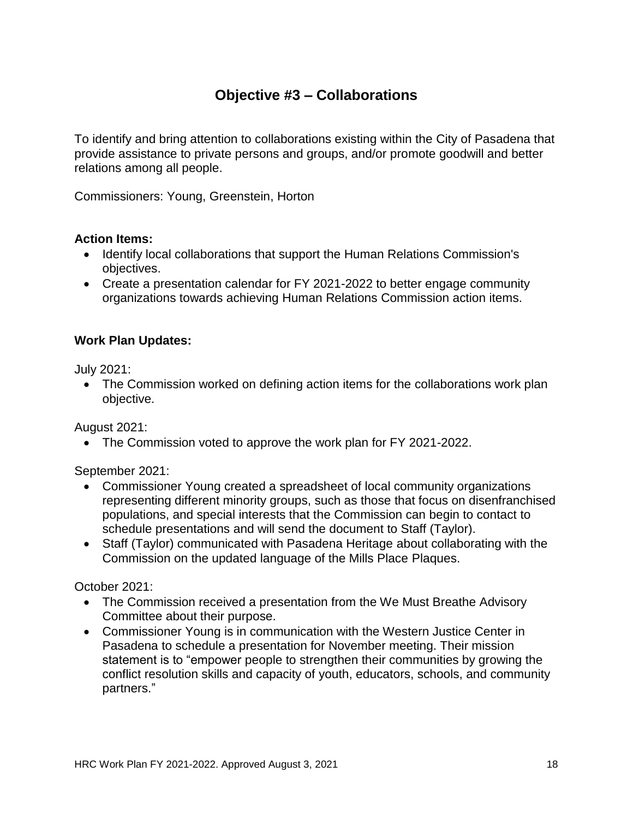# **Objective #3 – Collaborations**

<span id="page-17-0"></span>To identify and bring attention to collaborations existing within the City of Pasadena that provide assistance to private persons and groups, and/or promote goodwill and better relations among all people.

Commissioners: Young, Greenstein, Horton

### **Action Items:**

- Identify local collaborations that support the Human Relations Commission's objectives.
- Create a presentation calendar for FY 2021-2022 to better engage community organizations towards achieving Human Relations Commission action items.

## **Work Plan Updates:**

July 2021:

• The Commission worked on defining action items for the collaborations work plan objective.

August 2021:

• The Commission voted to approve the work plan for FY 2021-2022.

September 2021:

- Commissioner Young created a spreadsheet of local community organizations representing different minority groups, such as those that focus on disenfranchised populations, and special interests that the Commission can begin to contact to schedule presentations and will send the document to Staff (Taylor).
- Staff (Taylor) communicated with Pasadena Heritage about collaborating with the Commission on the updated language of the Mills Place Plaques.

### October 2021:

- The Commission received a presentation from the We Must Breathe Advisory Committee about their purpose.
- Commissioner Young is in communication with the Western Justice Center in Pasadena to schedule a presentation for November meeting. Their mission statement is to "empower people to strengthen their communities by growing the conflict resolution skills and capacity of youth, educators, schools, and community partners."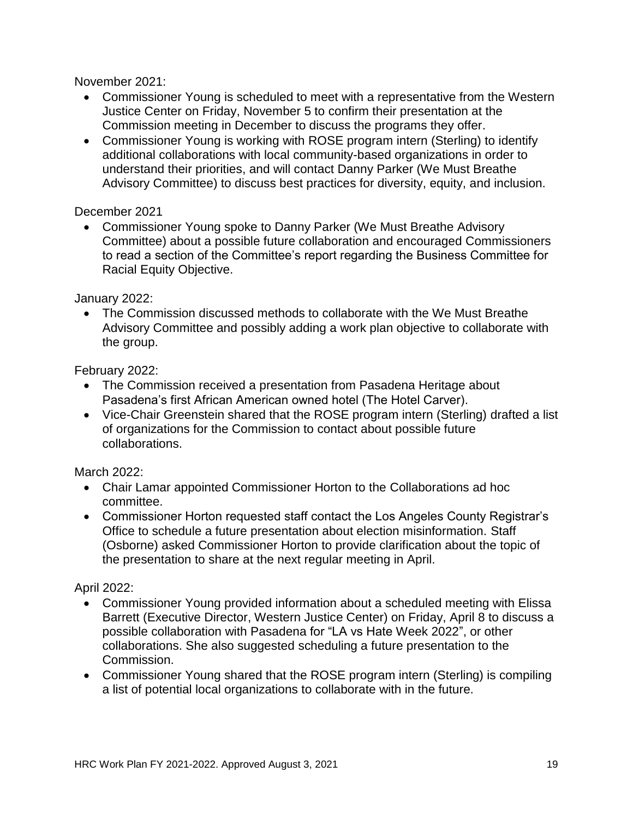November 2021:

- Commissioner Young is scheduled to meet with a representative from the Western Justice Center on Friday, November 5 to confirm their presentation at the Commission meeting in December to discuss the programs they offer.
- Commissioner Young is working with ROSE program intern (Sterling) to identify additional collaborations with local community-based organizations in order to understand their priorities, and will contact Danny Parker (We Must Breathe Advisory Committee) to discuss best practices for diversity, equity, and inclusion.

#### December 2021

 Commissioner Young spoke to Danny Parker (We Must Breathe Advisory Committee) about a possible future collaboration and encouraged Commissioners to read a section of the Committee's report regarding the Business Committee for Racial Equity Objective.

#### January 2022:

 The Commission discussed methods to collaborate with the We Must Breathe Advisory Committee and possibly adding a work plan objective to collaborate with the group.

### February 2022:

- The Commission received a presentation from Pasadena Heritage about Pasadena's first African American owned hotel (The Hotel Carver).
- Vice-Chair Greenstein shared that the ROSE program intern (Sterling) drafted a list of organizations for the Commission to contact about possible future collaborations.

### March 2022:

- Chair Lamar appointed Commissioner Horton to the Collaborations ad hoc committee.
- Commissioner Horton requested staff contact the Los Angeles County Registrar's Office to schedule a future presentation about election misinformation. Staff (Osborne) asked Commissioner Horton to provide clarification about the topic of the presentation to share at the next regular meeting in April.

### April 2022:

- Commissioner Young provided information about a scheduled meeting with Elissa Barrett (Executive Director, Western Justice Center) on Friday, April 8 to discuss a possible collaboration with Pasadena for "LA vs Hate Week 2022", or other collaborations. She also suggested scheduling a future presentation to the Commission.
- Commissioner Young shared that the ROSE program intern (Sterling) is compiling a list of potential local organizations to collaborate with in the future.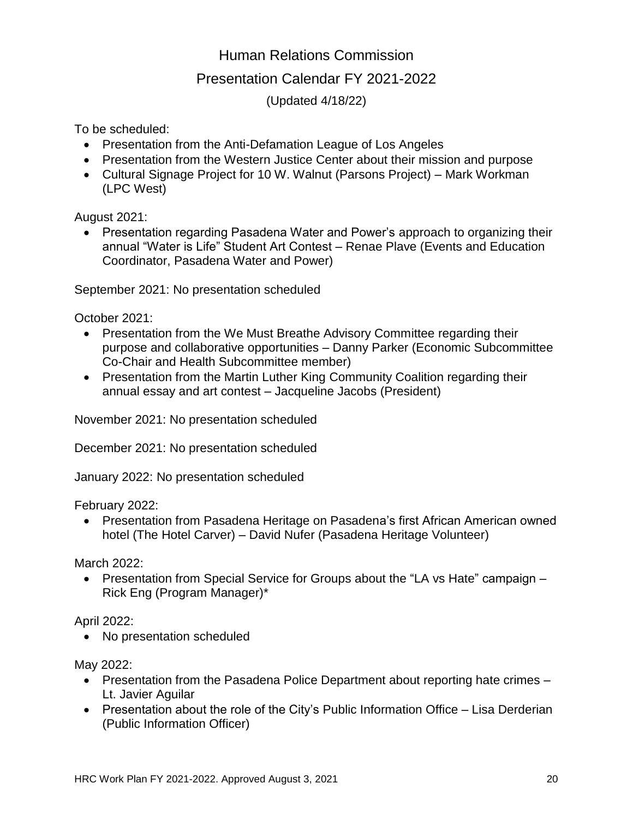## Human Relations Commission

## Presentation Calendar FY 2021-2022

(Updated 4/18/22)

To be scheduled:

- Presentation from the Anti-Defamation League of Los Angeles
- Presentation from the Western Justice Center about their mission and purpose
- Cultural Signage Project for 10 W. Walnut (Parsons Project) Mark Workman (LPC West)

August 2021:

• Presentation regarding Pasadena Water and Power's approach to organizing their annual "Water is Life" Student Art Contest – Renae Plave (Events and Education Coordinator, Pasadena Water and Power)

September 2021: No presentation scheduled

October 2021:

- Presentation from the We Must Breathe Advisory Committee regarding their purpose and collaborative opportunities – Danny Parker (Economic Subcommittee Co-Chair and Health Subcommittee member)
- Presentation from the Martin Luther King Community Coalition regarding their annual essay and art contest – Jacqueline Jacobs (President)

November 2021: No presentation scheduled

December 2021: No presentation scheduled

January 2022: No presentation scheduled

February 2022:

• Presentation from Pasadena Heritage on Pasadena's first African American owned hotel (The Hotel Carver) – David Nufer (Pasadena Heritage Volunteer)

March 2022:

• Presentation from Special Service for Groups about the "LA vs Hate" campaign – Rick Eng (Program Manager)\*

April 2022:

• No presentation scheduled

May 2022:

- Presentation from the Pasadena Police Department about reporting hate crimes Lt. Javier Aguilar
- Presentation about the role of the City's Public Information Office Lisa Derderian (Public Information Officer)